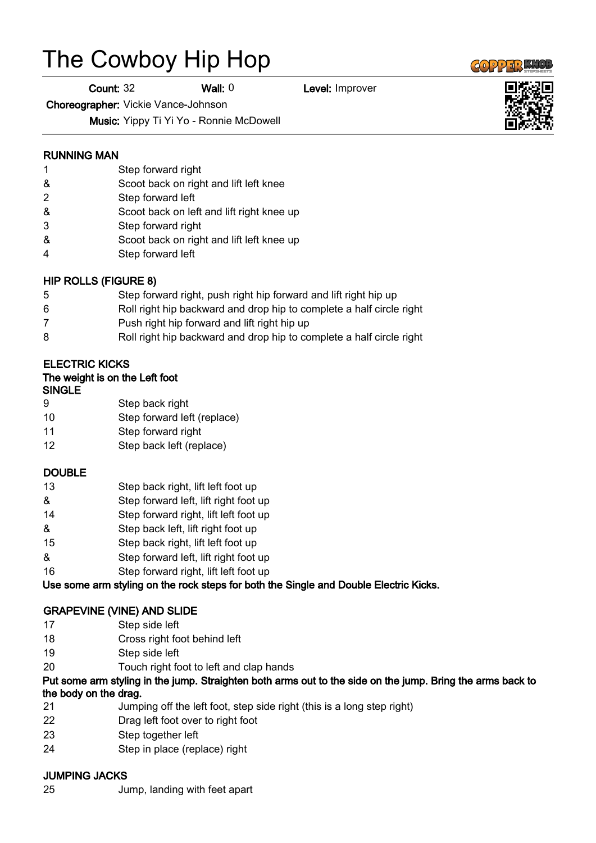# The Cowboy Hip Hop

Count: 32 Wall: 0 Level: Improver

Choreographer: Vickie Vance-Johnson

Music: Yippy Ti Yi Yo - Ronnie McDowell

#### RUNNING MAN

- 1 Step forward right
- & Scoot back on right and lift left knee
- 2 Step forward left
- & Scoot back on left and lift right knee up
- 3 Step forward right
- & Scoot back on right and lift left knee up
- 4 Step forward left

#### HIP ROLLS (FIGURE 8)

- 5 Step forward right, push right hip forward and lift right hip up
- 6 Roll right hip backward and drop hip to complete a half circle right
- 7 Push right hip forward and lift right hip up
- 8 Roll right hip backward and drop hip to complete a half circle right

## ELECTRIC KICKS

| The weight is on the Left foot |  |  |  |  |
|--------------------------------|--|--|--|--|
|--------------------------------|--|--|--|--|

#### SINGLE

- 9 Step back right
- 10 Step forward left (replace)
- 11 Step forward right
- 12 Step back left (replace)

#### DOUBLE

- 13 Step back right, lift left foot up
- & Step forward left, lift right foot up
- 14 Step forward right, lift left foot up
- & Step back left, lift right foot up
- 15 Step back right, lift left foot up
- & Step forward left, lift right foot up
- 16 Step forward right, lift left foot up

Use some arm styling on the rock steps for both the Single and Double Electric Kicks.

#### GRAPEVINE (VINE) AND SLIDE

- 17 Step side left
- 18 Cross right foot behind left
- 19 Step side left
- 20 Touch right foot to left and clap hands

## Put some arm styling in the jump. Straighten both arms out to the side on the jump. Bring the arms back to the body on the drag.

- 21 Jumping off the left foot, step side right (this is a long step right)
- 22 Drag left foot over to right foot
- 23 Step together left
- 24 Step in place (replace) right

## JUMPING JACKS

25 Jump, landing with feet apart